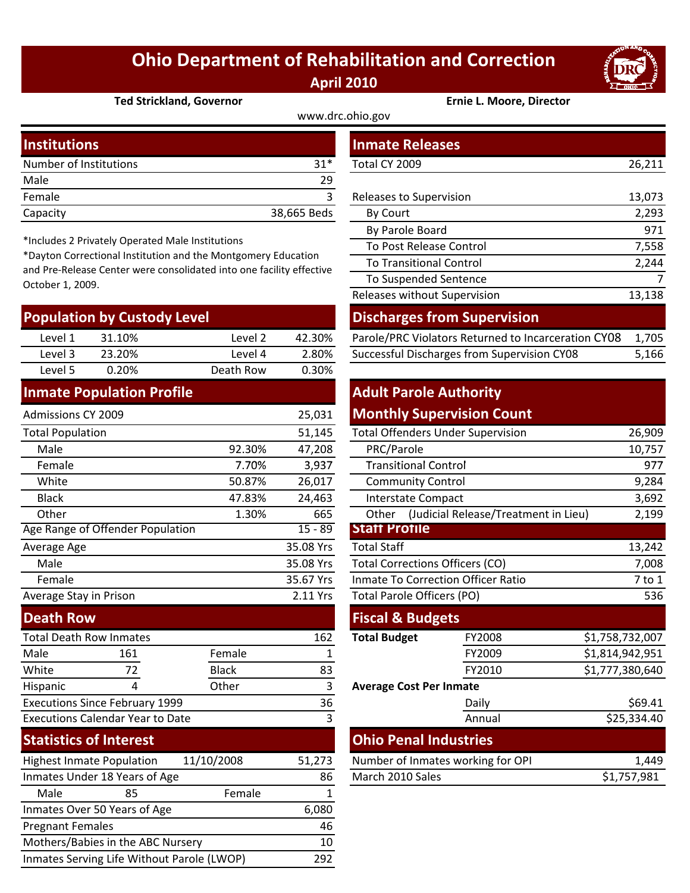## **Ohio Department of Rehabilitation and Correction April 2010**



| <b>Ted Strickland, Governor</b> | <b>Ernie L. Moore, Director</b> |
|---------------------------------|---------------------------------|
|---------------------------------|---------------------------------|

www.drc.ohio.gov

| <b>Institutions</b>    |             | <b>Inmate Releases</b>         |        |
|------------------------|-------------|--------------------------------|--------|
| Number of Institutions | $31*$       | Total CY 2009                  | 26,211 |
| Male                   | 29          |                                |        |
| Female                 |             | <b>Releases to Supervision</b> | 13,073 |
| Capacity               | 38,665 Beds | By Court                       | 2,293  |
|                        |             |                                |        |

\*Includes 2 Privately Operated Male Institutions

\*Dayton Correctional Institution and the Montgomery Education and Pre‐Release Center were consolidated into one facility effective October 1, 2009.

| <b>Population by Custody Level</b>      |                                  |              | <b>Discharges from Supervision</b> |                                        |                                                     |                 |        |
|-----------------------------------------|----------------------------------|--------------|------------------------------------|----------------------------------------|-----------------------------------------------------|-----------------|--------|
| Level 1                                 | 31.10%                           | Level 2      | 42.30%                             |                                        | Parole/PRC Violators Returned to Incarceration CY08 |                 | 1,705  |
| Level 3                                 | 23.20%                           | Level 4      | 2.80%                              |                                        | Successful Discharges from Supervision CY08         |                 | 5,166  |
| Level 5                                 | 0.20%                            | Death Row    | 0.30%                              |                                        |                                                     |                 |        |
|                                         | <b>Inmate Population Profile</b> |              |                                    | <b>Adult Parole Authority</b>          |                                                     |                 |        |
| <b>Admissions CY 2009</b>               |                                  |              | 25,031                             |                                        | <b>Monthly Supervision Count</b>                    |                 |        |
| <b>Total Population</b>                 |                                  |              | 51,145                             |                                        | <b>Total Offenders Under Supervision</b>            |                 | 26,909 |
| Male                                    |                                  | 92.30%       | 47,208                             | PRC/Parole                             |                                                     |                 | 10,757 |
| Female                                  |                                  | 7.70%        | 3,937                              | <b>Transitional Control</b>            |                                                     | 977             |        |
| White                                   |                                  | 50.87%       | 26,017                             | <b>Community Control</b>               |                                                     |                 | 9,284  |
| <b>Black</b>                            |                                  | 47.83%       | 24,463                             | Interstate Compact                     |                                                     |                 | 3,692  |
| Other                                   |                                  | 1.30%        | 665                                | Other                                  | (Judicial Release/Treatment in Lieu)                |                 | 2,199  |
|                                         | Age Range of Offender Population |              | $15 - 89$                          | <b>Statt Protile</b>                   |                                                     |                 |        |
| Average Age                             |                                  |              | 35.08 Yrs                          | <b>Total Staff</b>                     |                                                     |                 | 13,242 |
| Male                                    |                                  |              | 35.08 Yrs                          | <b>Total Corrections Officers (CO)</b> |                                                     |                 | 7,008  |
| Female                                  |                                  |              | 35.67 Yrs                          |                                        | <b>Inmate To Correction Officer Ratio</b>           |                 | 7 to 1 |
| Average Stay in Prison                  |                                  |              | 2.11 Yrs                           | Total Parole Officers (PO)             |                                                     |                 | 536    |
| <b>Death Row</b>                        |                                  |              |                                    | <b>Fiscal &amp; Budgets</b>            |                                                     |                 |        |
| <b>Total Death Row Inmates</b>          |                                  |              | 162                                | <b>Total Budget</b>                    | FY2008                                              | \$1,758,732,007 |        |
| Male                                    | 161                              | Female       | 1                                  |                                        | FY2009                                              | \$1,814,942,951 |        |
| White                                   | 72                               | <b>Black</b> | 83                                 |                                        | FY2010                                              | \$1,777,380,640 |        |
| Hispanic                                | 4                                | Other        | 3                                  | <b>Average Cost Per Inmate</b>         |                                                     |                 |        |
| <b>Executions Since February 1999</b>   |                                  | 36           |                                    | Daily                                  |                                                     | \$69.41         |        |
| <b>Executions Calendar Year to Date</b> |                                  | 3            |                                    | Annual                                 |                                                     | \$25,334.40     |        |
| <b>Statistics of Interest</b>           |                                  |              |                                    | <b>Ohio Penal Industries</b>           |                                                     |                 |        |
|                                         | <b>Highest Inmate Population</b> | 11/10/2008   | 51,273                             |                                        | Number of Inmates working for OPI                   |                 | 1,449  |
| Inmates Under 18 Years of Age           |                                  | 86           | March 2010 Sales                   |                                        |                                                     | \$1,757,981     |        |
| Male                                    | 85                               | Female       | 1                                  |                                        |                                                     |                 |        |
|                                         | Inmates Over 50 Years of Age     |              | 6,080                              |                                        |                                                     |                 |        |
| <b>Pregnant Females</b>                 |                                  |              | 46                                 |                                        |                                                     |                 |        |
| Mothers/Babies in the ABC Nursery       |                                  | 10           |                                    |                                        |                                                     |                 |        |

Inmates Serving Life Without Parole (LWOP) 292

| <b>stitutions</b>                                                                                                                                                                                |         |             | <b>Inmate Releases</b>                              |        |  |
|--------------------------------------------------------------------------------------------------------------------------------------------------------------------------------------------------|---------|-------------|-----------------------------------------------------|--------|--|
| mber of Institutions                                                                                                                                                                             |         | $31*$       | Total CY 2009                                       | 26,211 |  |
| le                                                                                                                                                                                               |         | 29          |                                                     |        |  |
| nale                                                                                                                                                                                             |         | 3           | Releases to Supervision                             | 13,073 |  |
| acity                                                                                                                                                                                            |         | 38,665 Beds | By Court                                            | 2,293  |  |
|                                                                                                                                                                                                  |         |             | By Parole Board                                     | 971    |  |
| cludes 2 Privately Operated Male Institutions<br>yton Correctional Institution and the Montgomery Education<br>Pre-Release Center were consolidated into one facility effective<br>ober 1, 2009. |         |             | To Post Release Control                             | 7,558  |  |
|                                                                                                                                                                                                  |         |             | <b>To Transitional Control</b>                      | 2,244  |  |
|                                                                                                                                                                                                  |         |             | To Suspended Sentence                               | 7      |  |
|                                                                                                                                                                                                  |         |             | Releases without Supervision                        | 13,138 |  |
| pulation by Custody Level                                                                                                                                                                        |         |             | <b>Discharges from Supervision</b>                  |        |  |
| Level 1<br>31.10%                                                                                                                                                                                | Level 2 | 42.30%      | Parole/PRC Violators Returned to Incarceration CY08 | 1,705  |  |
| Level 3<br>23.20%                                                                                                                                                                                | Level 4 | 2.80%       | Successful Discharges from Supervision CY08         | 5,166  |  |

## **Adult Parole Authority Monthly Supervision Count**

|        | ∠J,∪J⊥    |                                           | <b>IDIIIIIII</b> DUPCI VISIOII COUIII    |                 |
|--------|-----------|-------------------------------------------|------------------------------------------|-----------------|
|        | 51,145    |                                           | <b>Total Offenders Under Supervision</b> | 26,909          |
| 92.30% | 47,208    | PRC/Parole                                | 10,757                                   |                 |
| 7.70%  | 3,937     | <b>Transitional Control</b>               | 977                                      |                 |
| 50.87% | 26,017    | <b>Community Control</b>                  |                                          |                 |
| 47.83% | 24,463    | <b>Interstate Compact</b>                 | 3,692                                    |                 |
| 1.30%  | 665       | Other                                     | (Judicial Release/Treatment in Lieu)     | 2,199           |
|        | $15 - 89$ | <b>Statt Protile</b>                      |                                          |                 |
|        | 35.08 Yrs | <b>Total Staff</b>                        |                                          | 13,242          |
|        | 35.08 Yrs | <b>Total Corrections Officers (CO)</b>    | 7,008                                    |                 |
|        | 35.67 Yrs | <b>Inmate To Correction Officer Ratio</b> | 7 to 1                                   |                 |
|        | 2.11 Yrs  | Total Parole Officers (PO)                |                                          | 536             |
|        |           | <b>Fiscal &amp; Budgets</b>               |                                          |                 |
|        | 162       | <b>Total Budget</b>                       | FY2008                                   | \$1,758,732,007 |
| ale    | 1         |                                           | FY2009                                   | \$1,814,942,951 |
| :k     | 83        |                                           | FY2010                                   | \$1,777,380,640 |
| er     | 3         | <b>Average Cost Per Inmate</b>            |                                          |                 |
|        | 36        |                                           | Daily                                    | \$69.41         |
|        | 3         |                                           | Annual                                   | \$25,334.40     |
|        |           |                                           | <b>Ohio Penal Industries</b>             |                 |
| 08     | 51,273    | Number of Inmates working for OPI         |                                          | 1,449           |
|        | 86        | March 2010 Sales                          |                                          | \$1,757,981     |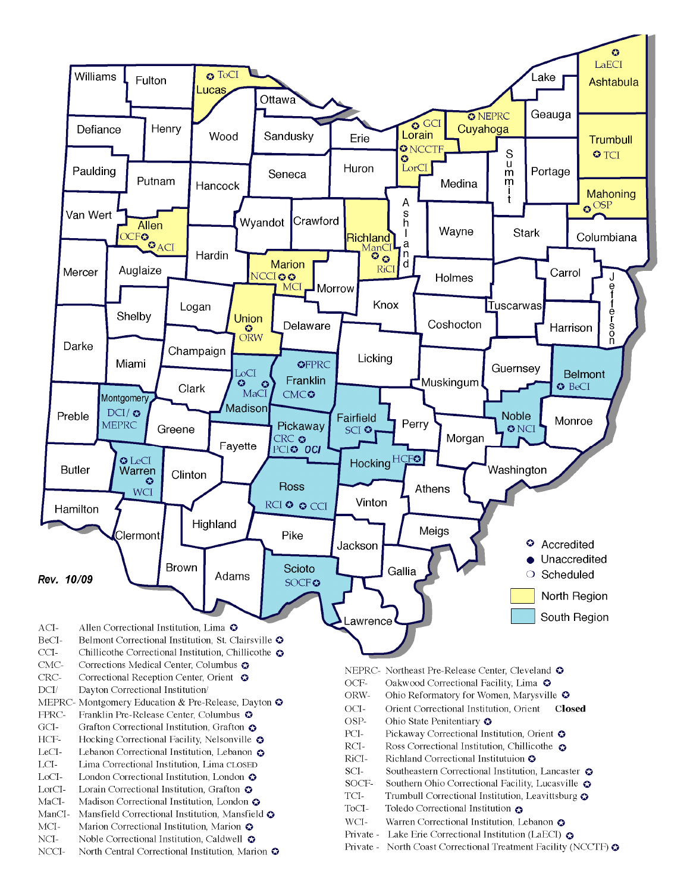